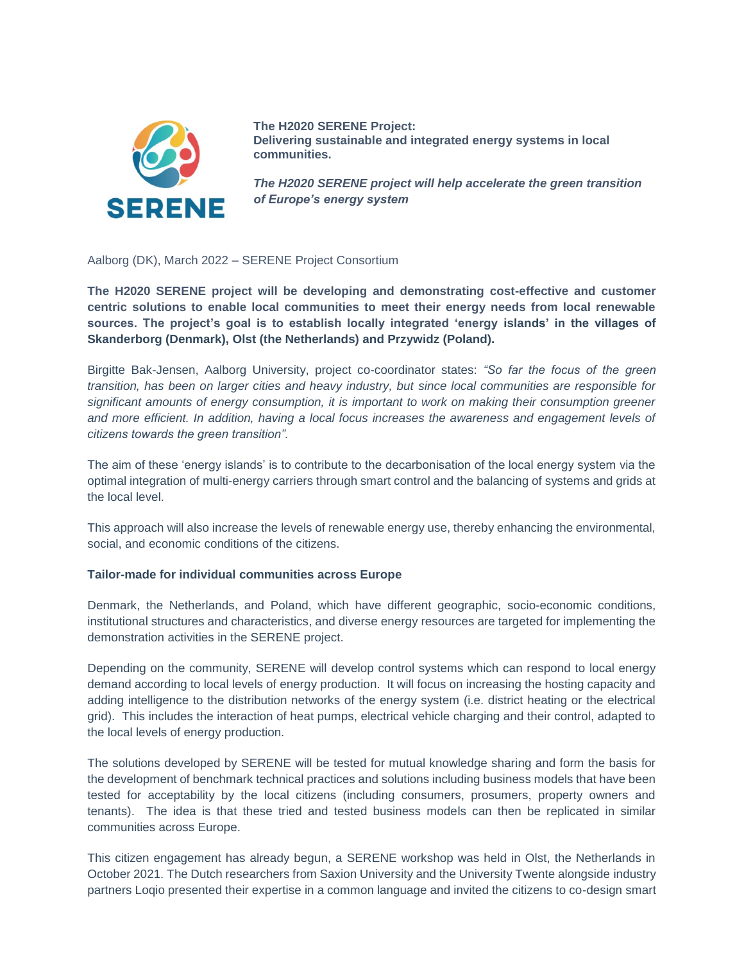

**The H2020 SERENE Project: Delivering sustainable and integrated energy systems in local communities.**

*The H2020 SERENE project will help accelerate the green transition of Europe's energy system*

Aalborg (DK), March 2022 – SERENE Project Consortium

**The H2020 SERENE project will be developing and demonstrating cost-effective and customer centric solutions to enable local communities to meet their energy needs from local renewable sources. The project's goal is to establish locally integrated 'energy islands' in the villages of Skanderborg (Denmark), Olst (the Netherlands) and Przywidz (Poland).**

Birgitte Bak-Jensen, Aalborg University, project co-coordinator states: *"So far the focus of the green transition, has been on larger cities and heavy industry, but since local communities are responsible for significant amounts of energy consumption, it is important to work on making their consumption greener and more efficient. In addition, having a local focus increases the awareness and engagement levels of citizens towards the green transition".*

The aim of these 'energy islands' is to contribute to the decarbonisation of the local energy system via the optimal integration of multi-energy carriers through smart control and the balancing of systems and grids at the local level.

This approach will also increase the levels of renewable energy use, thereby enhancing the environmental, social, and economic conditions of the citizens.

## **Tailor-made for individual communities across Europe**

Denmark, the Netherlands, and Poland, which have different geographic, socio-economic conditions, institutional structures and characteristics, and diverse energy resources are targeted for implementing the demonstration activities in the SERENE project.

Depending on the community, SERENE will develop control systems which can respond to local energy demand according to local levels of energy production. It will focus on increasing the hosting capacity and adding intelligence to the distribution networks of the energy system (i.e. district heating or the electrical grid). This includes the interaction of heat pumps, electrical vehicle charging and their control, adapted to the local levels of energy production.

The solutions developed by SERENE will be tested for mutual knowledge sharing and form the basis for the development of benchmark technical practices and solutions including business models that have been tested for acceptability by the local citizens (including consumers, prosumers, property owners and tenants). The idea is that these tried and tested business models can then be replicated in similar communities across Europe.

This citizen engagement has already begun, a SERENE workshop was held in Olst, the Netherlands in October 2021. The Dutch researchers from Saxion University and the University Twente alongside industry partners Loqio presented their expertise in a common language and invited the citizens to co-design smart